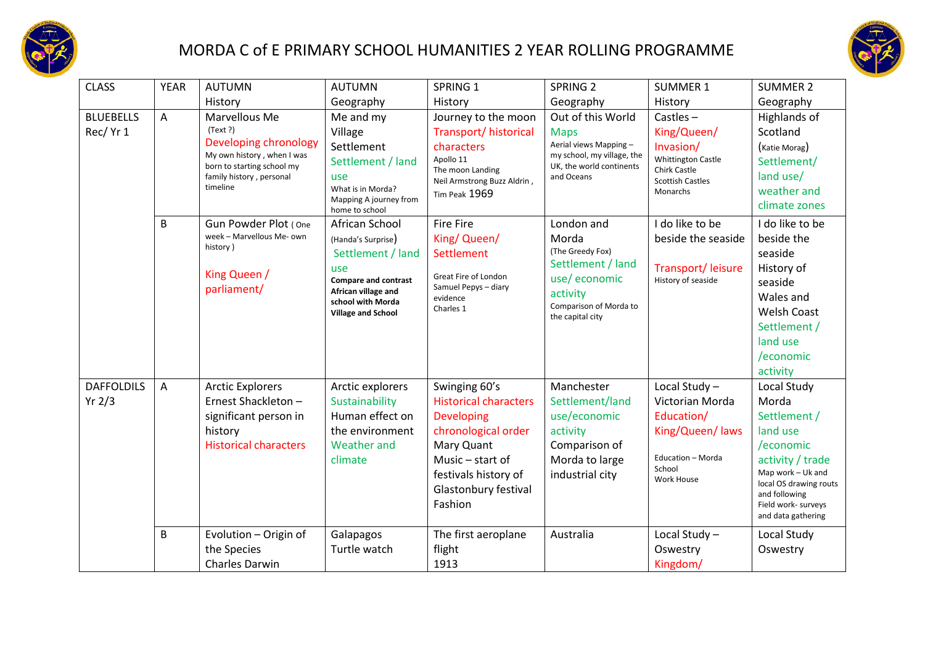



| <b>CLASS</b>                  | <b>YEAR</b>    | <b>AUTUMN</b>                                                                                                                                          | <b>AUTUMN</b>                                                                                                                                                            | SPRING 1                                                                                                                                                                               | SPRING <sub>2</sub>                                                                                                                    | <b>SUMMER 1</b>                                                                                                                    | <b>SUMMER 2</b>                                                                                                                                                                                |
|-------------------------------|----------------|--------------------------------------------------------------------------------------------------------------------------------------------------------|--------------------------------------------------------------------------------------------------------------------------------------------------------------------------|----------------------------------------------------------------------------------------------------------------------------------------------------------------------------------------|----------------------------------------------------------------------------------------------------------------------------------------|------------------------------------------------------------------------------------------------------------------------------------|------------------------------------------------------------------------------------------------------------------------------------------------------------------------------------------------|
|                               |                | History                                                                                                                                                | Geography                                                                                                                                                                | History                                                                                                                                                                                | Geography                                                                                                                              | History                                                                                                                            | Geography                                                                                                                                                                                      |
| <b>BLUEBELLS</b><br>Rec/ Yr 1 | A              | Marvellous Me<br>(Text ?)<br>Developing chronology<br>My own history, when I was<br>born to starting school my<br>family history, personal<br>timeline | Me and my<br>Village<br>Settlement<br>Settlement / land<br>use<br>What is in Morda?<br>Mapping A journey from<br>home to school                                          | Journey to the moon<br>Transport/ historical<br>characters<br>Apollo 11<br>The moon Landing<br>Neil Armstrong Buzz Aldrin,<br>Tim Peak 1969                                            | Out of this World<br><b>Maps</b><br>Aerial views Mapping -<br>my school, my village, the<br>UK, the world continents<br>and Oceans     | Castles $-$<br>King/Queen/<br>Invasion/<br><b>Whittington Castle</b><br><b>Chirk Castle</b><br><b>Scottish Castles</b><br>Monarchs | Highlands of<br>Scotland<br>(Katie Morag)<br>Settlement/<br>land use/<br>weather and<br>climate zones                                                                                          |
|                               | B              | Gun Powder Plot (One<br>week - Marvellous Me- own<br>history)<br>King Queen /<br>parliament/                                                           | African School<br>(Handa's Surprise)<br>Settlement / land<br>use<br><b>Compare and contrast</b><br>African village and<br>school with Morda<br><b>Village and School</b> | <b>Fire Fire</b><br>King/ Queen/<br>Settlement<br>Great Fire of London<br>Samuel Pepys - diary<br>evidence<br>Charles 1                                                                | London and<br>Morda<br>(The Greedy Fox)<br>Settlement / land<br>use/economic<br>activity<br>Comparison of Morda to<br>the capital city | I do like to be<br>beside the seaside<br>Transport/ leisure<br>History of seaside                                                  | I do like to be<br>beside the<br>seaside<br>History of<br>seaside<br>Wales and<br><b>Welsh Coast</b><br>Settlement /<br>land use<br>/economic<br>activity                                      |
| <b>DAFFOLDILS</b><br>Yr 2/3   | $\overline{A}$ | <b>Arctic Explorers</b><br>Ernest Shackleton -<br>significant person in<br>history<br><b>Historical characters</b>                                     | Arctic explorers<br>Sustainability<br>Human effect on<br>the environment<br><b>Weather and</b><br>climate                                                                | Swinging 60's<br><b>Historical characters</b><br><b>Developing</b><br>chronological order<br>Mary Quant<br>Music - start of<br>festivals history of<br>Glastonbury festival<br>Fashion | Manchester<br>Settlement/land<br>use/economic<br>activity<br>Comparison of<br>Morda to large<br>industrial city                        | Local Study-<br>Victorian Morda<br>Education/<br>King/Queen/ laws<br>Education - Morda<br>School<br><b>Work House</b>              | Local Study<br>Morda<br>Settlement /<br>land use<br>/economic<br>activity / trade<br>Map work - Uk and<br>local OS drawing routs<br>and following<br>Field work- surveys<br>and data gathering |
|                               | B              | Evolution - Origin of<br>the Species<br>Charles Darwin                                                                                                 | Galapagos<br>Turtle watch                                                                                                                                                | The first aeroplane<br>flight<br>1913                                                                                                                                                  | Australia                                                                                                                              | Local Study-<br>Oswestry<br>Kingdom/                                                                                               | Local Study<br>Oswestry                                                                                                                                                                        |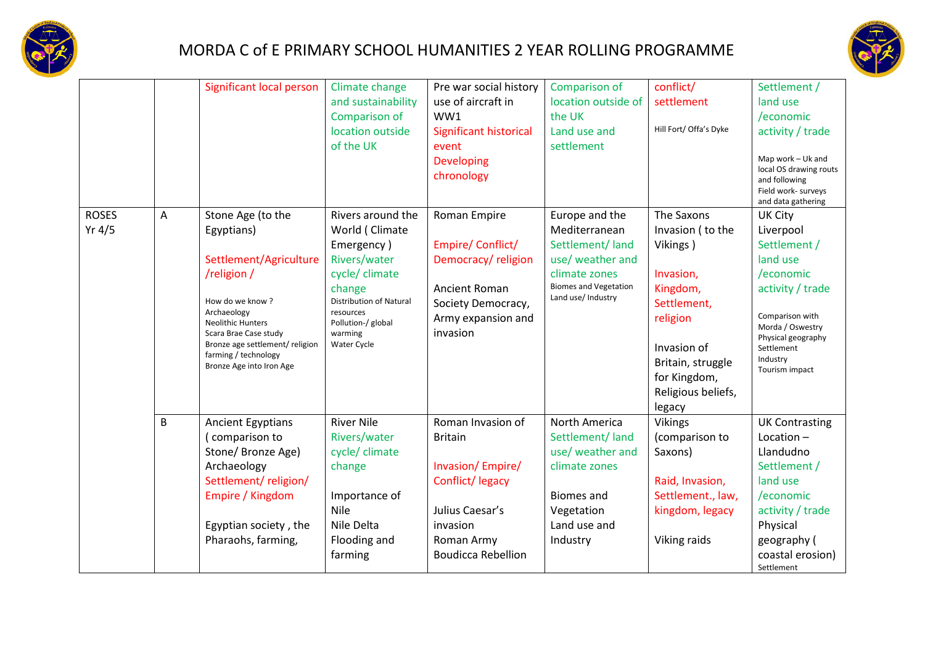



| <b>ROSES</b> |   | Significant local person                                                                                                                                                                                                                              | Climate change<br>and sustainability<br>Comparison of<br>location outside<br>of the UK<br>Rivers around the                                                             | Pre war social history<br>use of aircraft in<br>WW1<br><b>Significant historical</b><br>event<br>Developing<br>chronology                            | Comparison of<br>location outside of<br>the UK<br>Land use and<br>settlement                                                                  | conflict/<br>settlement<br>Hill Fort/ Offa's Dyke<br>The Saxons                                                                                                      | Settlement /<br>land use<br>/economic<br>activity / trade<br>Map work - Uk and<br>local OS drawing routs<br>and following<br>Field work- surveys<br>and data gathering                            |
|--------------|---|-------------------------------------------------------------------------------------------------------------------------------------------------------------------------------------------------------------------------------------------------------|-------------------------------------------------------------------------------------------------------------------------------------------------------------------------|------------------------------------------------------------------------------------------------------------------------------------------------------|-----------------------------------------------------------------------------------------------------------------------------------------------|----------------------------------------------------------------------------------------------------------------------------------------------------------------------|---------------------------------------------------------------------------------------------------------------------------------------------------------------------------------------------------|
| Yr $4/5$     | Α | Stone Age (to the<br>Egyptians)<br>Settlement/Agriculture<br>/religion/<br>How do we know?<br>Archaeology<br><b>Neolithic Hunters</b><br>Scara Brae Case study<br>Bronze age settlement/ religion<br>farming / technology<br>Bronze Age into Iron Age | World (Climate<br>Emergency)<br>Rivers/water<br>cycle/ climate<br>change<br><b>Distribution of Natural</b><br>resources<br>Pollution-/ global<br>warming<br>Water Cycle | Roman Empire<br>Empire/Conflict/<br>Democracy/religion<br>Ancient Roman<br>Society Democracy,<br>Army expansion and<br>invasion                      | Europe and the<br>Mediterranean<br>Settlement/land<br>use/ weather and<br>climate zones<br><b>Biomes and Vegetation</b><br>Land use/ Industry | Invasion (to the<br>Vikings)<br>Invasion,<br>Kingdom,<br>Settlement,<br>religion<br>Invasion of<br>Britain, struggle<br>for Kingdom,<br>Religious beliefs,<br>legacy | <b>UK City</b><br>Liverpool<br>Settlement /<br>land use<br>/economic<br>activity / trade<br>Comparison with<br>Morda / Oswestry<br>Physical geography<br>Settlement<br>Industry<br>Tourism impact |
|              | B | <b>Ancient Egyptians</b><br>comparison to<br>Stone/ Bronze Age)<br>Archaeology<br>Settlement/religion/<br>Empire / Kingdom<br>Egyptian society, the<br>Pharaohs, farming,                                                                             | <b>River Nile</b><br>Rivers/water<br>cycle/ climate<br>change<br>Importance of<br>Nile<br>Nile Delta<br>Flooding and<br>farming                                         | Roman Invasion of<br><b>Britain</b><br>Invasion/Empire/<br>Conflict/legacy<br>Julius Caesar's<br>invasion<br>Roman Army<br><b>Boudicca Rebellion</b> | North America<br>Settlement/land<br>use/ weather and<br>climate zones<br><b>Biomes</b> and<br>Vegetation<br>Land use and<br>Industry          | <b>Vikings</b><br>(comparison to<br>Saxons)<br>Raid, Invasion,<br>Settlement., law,<br>kingdom, legacy<br>Viking raids                                               | <b>UK Contrasting</b><br>Location $-$<br>Llandudno<br>Settlement /<br>land use<br>/economic<br>activity / trade<br>Physical<br>geography (<br>coastal erosion)<br>Settlement                      |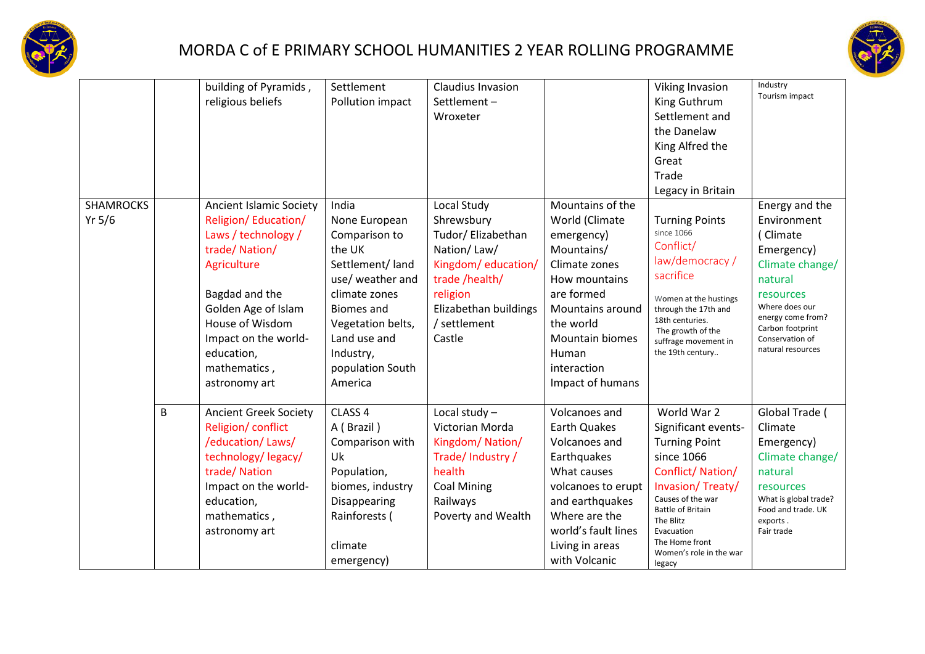



|                              |   | building of Pyramids,<br>religious beliefs                                                                                                                                                                                               | Settlement<br>Pollution impact                                                                                                                                                                                  | Claudius Invasion<br>Settlement-<br>Wroxeter                                                                                                                          |                                                                                                                                                                                                                       | <b>Viking Invasion</b><br>King Guthrum<br>Settlement and<br>the Danelaw<br>King Alfred the<br>Great<br>Trade<br>Legacy in Britain                                                                                                                   | Industry<br>Tourism impact                                                                                                                                                                            |
|------------------------------|---|------------------------------------------------------------------------------------------------------------------------------------------------------------------------------------------------------------------------------------------|-----------------------------------------------------------------------------------------------------------------------------------------------------------------------------------------------------------------|-----------------------------------------------------------------------------------------------------------------------------------------------------------------------|-----------------------------------------------------------------------------------------------------------------------------------------------------------------------------------------------------------------------|-----------------------------------------------------------------------------------------------------------------------------------------------------------------------------------------------------------------------------------------------------|-------------------------------------------------------------------------------------------------------------------------------------------------------------------------------------------------------|
| <b>SHAMROCKS</b><br>Yr $5/6$ |   | Ancient Islamic Society<br>Religion/Education/<br>Laws / technology /<br>trade/Nation/<br>Agriculture<br>Bagdad and the<br>Golden Age of Islam<br>House of Wisdom<br>Impact on the world-<br>education,<br>mathematics,<br>astronomy art | India<br>None European<br>Comparison to<br>the UK<br>Settlement/land<br>use/ weather and<br>climate zones<br><b>Biomes</b> and<br>Vegetation belts,<br>Land use and<br>Industry,<br>population South<br>America | Local Study<br>Shrewsbury<br>Tudor/ Elizabethan<br>Nation/Law/<br>Kingdom/education/<br>trade /health/<br>religion<br>Elizabethan buildings<br>/ settlement<br>Castle | Mountains of the<br>World (Climate<br>emergency)<br>Mountains/<br>Climate zones<br>How mountains<br>are formed<br>Mountains around<br>the world<br><b>Mountain biomes</b><br>Human<br>interaction<br>Impact of humans | <b>Turning Points</b><br>since 1066<br>Conflict/<br>law/democracy /<br>sacrifice<br>Women at the hustings<br>through the 17th and<br>18th centuries.<br>The growth of the<br>suffrage movement in<br>the 19th century                               | Energy and the<br>Environment<br>(Climate<br>Emergency)<br>Climate change/<br>natural<br>resources<br>Where does our<br>energy come from?<br>Carbon footprint<br>Conservation of<br>natural resources |
|                              | B | <b>Ancient Greek Society</b><br>Religion/ conflict<br>/education/Laws/<br>technology/legacy/<br>trade/Nation<br>Impact on the world-<br>education,<br>mathematics,<br>astronomy art                                                      | CLASS 4<br>A (Brazil)<br>Comparison with<br>Uk<br>Population,<br>biomes, industry<br>Disappearing<br>Rainforests (<br>climate<br>emergency)                                                                     | Local study-<br>Victorian Morda<br>Kingdom/Nation/<br>Trade/Industry/<br>health<br><b>Coal Mining</b><br>Railways<br>Poverty and Wealth                               | Volcanoes and<br><b>Earth Quakes</b><br>Volcanoes and<br>Earthquakes<br>What causes<br>volcanoes to erupt<br>and earthquakes<br>Where are the<br>world's fault lines<br>Living in areas<br>with Volcanic              | World War 2<br>Significant events-<br><b>Turning Point</b><br>since 1066<br>Conflict/Nation/<br>Invasion/Treaty/<br>Causes of the war<br><b>Battle of Britain</b><br>The Blitz<br>Evacuation<br>The Home front<br>Women's role in the war<br>legacy | Global Trade (<br>Climate<br>Emergency)<br>Climate change/<br>natural<br>resources<br>What is global trade?<br>Food and trade. UK<br>exports.<br>Fair trade                                           |